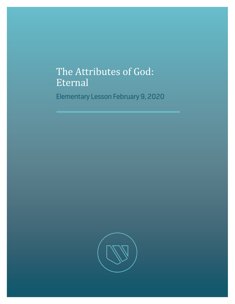## The Attributes of God: Eternal

Elementary Lesson February 9, 2020

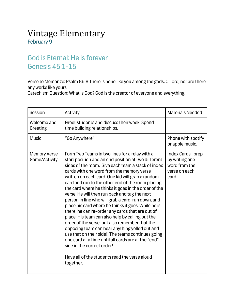## Vintage Elementary February 9

## God is Eternal: He is forever Genesis 45:1-15

Verse to Memorize: Psalm 86:8 There is none like you among the gods, O Lord, nor are there any works like yours.

Catechism Question: What is God? God is the creator of everyone and everything.

| Session                              | Activity                                                                                                                                                                                                                                                                                                                                                                                                                                                                                                                                                                                                                                                                                                                                                                                                                                                                                                                                                     | <b>Materials Needed</b>                                                       |
|--------------------------------------|--------------------------------------------------------------------------------------------------------------------------------------------------------------------------------------------------------------------------------------------------------------------------------------------------------------------------------------------------------------------------------------------------------------------------------------------------------------------------------------------------------------------------------------------------------------------------------------------------------------------------------------------------------------------------------------------------------------------------------------------------------------------------------------------------------------------------------------------------------------------------------------------------------------------------------------------------------------|-------------------------------------------------------------------------------|
| Welcome and<br>Greeting              | Greet students and discuss their week. Spend<br>time building relationships.                                                                                                                                                                                                                                                                                                                                                                                                                                                                                                                                                                                                                                                                                                                                                                                                                                                                                 |                                                                               |
| <b>Music</b>                         | "Go Anywhere"                                                                                                                                                                                                                                                                                                                                                                                                                                                                                                                                                                                                                                                                                                                                                                                                                                                                                                                                                | Phone with spotify<br>or apple music.                                         |
| <b>Memory Verse</b><br>Game/Activity | Form Two Teams in two lines for a relay with a<br>start position and an end position at two different<br>sides of the room. Give each team a stack of index<br>cards with one word from the memory verse<br>written on each card. One kid will grab a random<br>card and run to the other end of the room placing<br>the card where he thinks it goes in the order of the<br>verse. He will then run back and tag the next<br>person in line who will grab a card, run down, and<br>place his card where he thinks it goes. While he is<br>there, he can re-order any cards that are out of<br>place. His team can also help by calling out the<br>order of the verse, but also remember that the<br>opposing team can hear anything yelled out and<br>use that on their side!! The teams continues going<br>one card at a time until all cards are at the "end"<br>side in the correct order!<br>Have all of the students read the verse aloud<br>together. | Index Cards-prep<br>by writing one<br>word from the<br>verse on each<br>card. |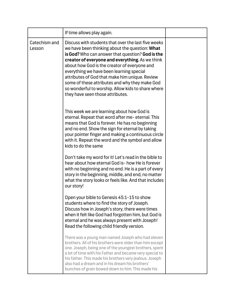|                         | If time allows play again.                                                                                                                                                                                                                                                                                                                                                                                                                                                                             |  |
|-------------------------|--------------------------------------------------------------------------------------------------------------------------------------------------------------------------------------------------------------------------------------------------------------------------------------------------------------------------------------------------------------------------------------------------------------------------------------------------------------------------------------------------------|--|
| Catechism and<br>Lesson | Discuss with students that over the last five weeks<br>we have been thinking about the question: What<br>is God? Who can answer that question? God is the<br>creator of everyone and everything. As we think<br>about how God is the creator of everyone and<br>everything we have been learning special<br>attributes of God that make him unique. Review<br>some of these attributes and why they make God<br>so wonderful to worship. Allow kids to share where<br>they have seen those attributes. |  |
|                         | This week we are learning about how God is<br>eternal. Repeat that word after me-eternal. This<br>means that God is forever. He has no beginning<br>and no end. Show the sign for eternal by taking<br>your pointer finger and making a continuous circle<br>with it. Repeat the word and the symbol and allow<br>kids to do the same                                                                                                                                                                  |  |
|                         | Don't take my word for it! Let's read in the bible to<br>hear about how eternal God is-how He is forever<br>with no beginning and no end. He is a part of every<br>story in the beginning, middle, and end, no matter<br>what the story looks or feels like. And that includes<br>our story!                                                                                                                                                                                                           |  |
|                         | Open your bible to Genesis 45:1-15 to show<br>students where to find the story of Joseph.<br>Discuss how in Joseph's story, there were times<br>when it felt like God had forgotten him, but God is<br>eternal and he was always present with Joseph!<br>Read the following child friendly version.                                                                                                                                                                                                    |  |
|                         | There was a young man named Joseph who had eleven<br>brothers. All of his brothers were older than him except<br>one. Joseph, being one of the youngest brothers, spent<br>a lot of time with his Father and became very special to<br>his father. This made his brothers very jealous. Joseph<br>also had a dream and in his dream his brothers'<br>bunches of grain bowed down to him. This made his                                                                                                 |  |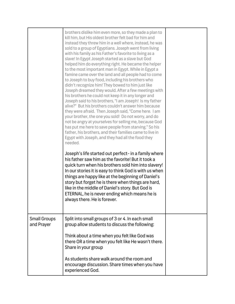|                                   | brothers dislike him even more, so they made a plan to<br>kill him, but His oldest brother felt bad for him and<br>instead they threw him in a well where, instead, he was<br>sold to a group of Egyptians. Joseph went from living<br>with his family as his Father's favorite to living as a<br>slave! In Egypt Joseph started as a slave but God<br>helped him do everything right. He became the helper<br>to the most important man in Egypt. While in Egypt a<br>famine came over the land and all people had to come<br>to Joseph to buy food, including his brothers who<br>didn't recognize him! They bowed to him just like<br>Joseph dreamed they would. After a few meetings with<br>his brothers he could not keep it in any longer and<br>Joseph said to his brothers, "I am Joseph! Is my father<br>alive?" But his brothers couldn't answer him because<br>they were afraid. Then Joseph said, "Come here. I am<br>your brother, the one you sold! Do not worry, and do<br>not be angry at yourselves for selling me, because God<br>has put me here to save people from starving." So his<br>father, his brothers, and their families came to live in<br>Egypt with Joseph, and they had all the food they<br>needed.<br>Joseph's life started out perfect- in a family where<br>his father saw him as the favorite! But it took a<br>quick turn when his brothers sold him into slavery!<br>In our stories it is easy to think God is with us when<br>things are happy like at the beginning of Daniel's<br>story but forget he is there when things are hard,<br>like in the middle of Daniel's story. But God is<br>ETERNAL, he is never ending which means he is<br>always there. He is forever. |  |
|-----------------------------------|-----------------------------------------------------------------------------------------------------------------------------------------------------------------------------------------------------------------------------------------------------------------------------------------------------------------------------------------------------------------------------------------------------------------------------------------------------------------------------------------------------------------------------------------------------------------------------------------------------------------------------------------------------------------------------------------------------------------------------------------------------------------------------------------------------------------------------------------------------------------------------------------------------------------------------------------------------------------------------------------------------------------------------------------------------------------------------------------------------------------------------------------------------------------------------------------------------------------------------------------------------------------------------------------------------------------------------------------------------------------------------------------------------------------------------------------------------------------------------------------------------------------------------------------------------------------------------------------------------------------------------------------------------------------------------------------------------------------------|--|
| <b>Small Groups</b><br>and Prayer | Split into small groups of 3 or 4. In each small<br>group allow students to discuss the following:<br>Think about a time when you felt like God was<br>there OR a time when you felt like He wasn't there.<br>Share in your group<br>As students share walk around the room and<br>encourage discussion. Share times when you have<br>experienced God.                                                                                                                                                                                                                                                                                                                                                                                                                                                                                                                                                                                                                                                                                                                                                                                                                                                                                                                                                                                                                                                                                                                                                                                                                                                                                                                                                                |  |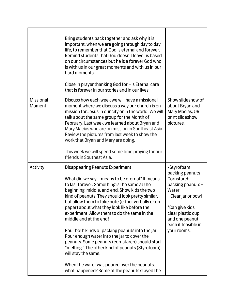|                            | Bring students back together and ask why it is<br>important, when we are going through day to day<br>life, to remember that God is eternal and forever.<br>Remind students that God doesn't leave us based<br>on our circumstances but he is a forever God who<br>is with us in our great moments and with us in our<br>hard moments.<br>Close in prayer thanking God for His Eternal care<br>that is forever in our stories and in our lives.                                                                                                                                                                                                                                                                                                                    |                                                                                                                                                                                                  |
|----------------------------|-------------------------------------------------------------------------------------------------------------------------------------------------------------------------------------------------------------------------------------------------------------------------------------------------------------------------------------------------------------------------------------------------------------------------------------------------------------------------------------------------------------------------------------------------------------------------------------------------------------------------------------------------------------------------------------------------------------------------------------------------------------------|--------------------------------------------------------------------------------------------------------------------------------------------------------------------------------------------------|
| <b>Missional</b><br>Moment | Discuss how each week we will have a missional<br>moment where we discuss a way our church is on<br>mission for Jesus in our city or in the world! We will<br>talk about the same group for the Month of<br>February. Last week we learned about Bryan and<br>Mary Macias who are on mission in Southeast Asia.<br>Review the pictures from last week to show the<br>work that Bryan and Mary are doing.<br>This week we will spend some time praying for our<br>friends in Southest Asia.                                                                                                                                                                                                                                                                        | Show slideshow of<br>about Bryan and<br>Mary Macias, OR<br>print slideshow<br>pictures.                                                                                                          |
| Activity                   | <b>Disappearing Peanuts Experiment</b><br>What did we say it means to be eternal? It means<br>to last forever. Something is the same at the<br>beginning, middle, and end. Show kids the two<br>kind of peanuts. They should look pretty similar,<br>but allow them to take note (either verbally or on<br>paper) about what they look like before the<br>experiment. Allow them to do the same in the<br>middle and at the end!<br>Pour both kinds of packing peanuts into the jar.<br>Pour enough water into the jar to cover the<br>peanuts. Some peanuts (cornstarch) should start<br>"melting." The other kind of peanuts (Styrofoam)<br>will stay the same.<br>When the water was poured over the peanuts,<br>what happened? Some of the peanuts stayed the | -Styrofoam<br>packing peanuts -<br>Cornstarch<br>packing peanuts -<br>Water<br>-Clear jar or bowl<br>*Can give kids<br>clear plastic cup<br>and one peanut<br>each if feasible in<br>your rooms. |